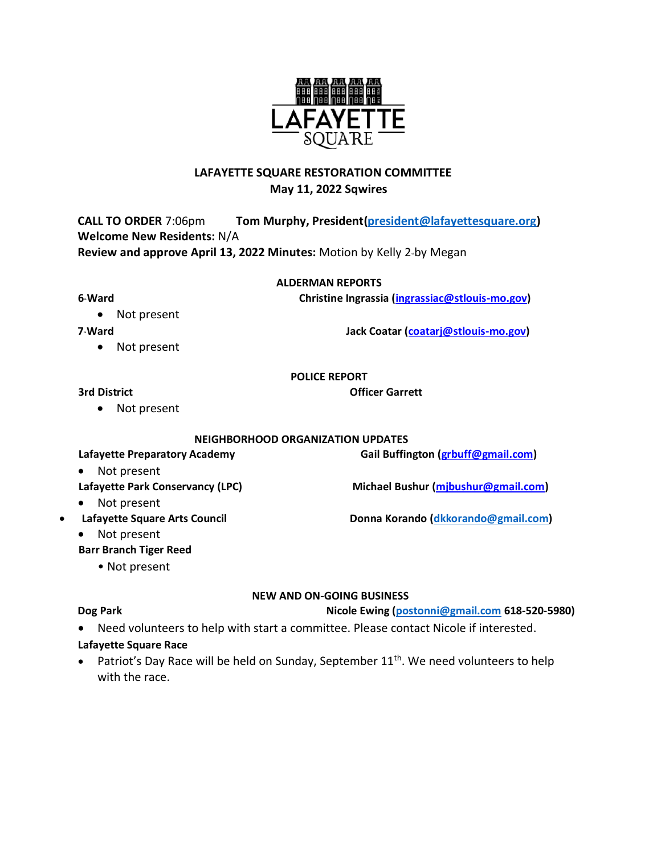# **LAFAYETTE SQUARE RESTORATION COMMITTEE May 11, 2022 Sqwires**

**CALL TO ORDER** 7:06pm **Tom Murphy, President(president@lafayettesquare.org) Welcome New Residents:** N/A **Review and approve April 13, 2022 Minutes: Motion by Kelly 2-by Megan** 

#### **ALDERMAN REPORTS**

## **6th Ward Christine Ingrassia (ingrassiac@stlouis-mo.gov)**

• Not present

• Not present

**7th Ward Jack Coatar (coatarj@stlouis-mo.gov)**

### **POLICE REPORT**

### **3rd District Community Community Community Community Community Community Community Community Community Community Community Community Community Community Community Community Community Community Community Community Communit**

• Not present

## **NEIGHBORHOOD ORGANIZATION UPDATES**

**Lafayette Preparatory Academy Gail Buffington (grbuff@gmail.com)**

- Not present **Lafayette Park Conservancy (LPC) Michael Bushur (mjbushur@gmail.com)**
- Not present
- Lafayette Square Arts Council **Donna Korando [\(dkkorando@gmail.com\)](mailto:dkkorando@gmail.com)** 
	- Not present
	- **Barr Branch Tiger Reed**
		- Not present

# **NEW AND ON-GOING BUSINESS**

**Dog Park Nicole Ewing [\(postonni@gmail.com](mailto:postonni@gmail.com) 618-520-5980)**

• Need volunteers to help with start a committee. Please contact Nicole if interested.

# **Lafayette Square Race**

• Patriot's Day Race will be held on Sunday, September 11<sup>th</sup>. We need volunteers to help with the race.